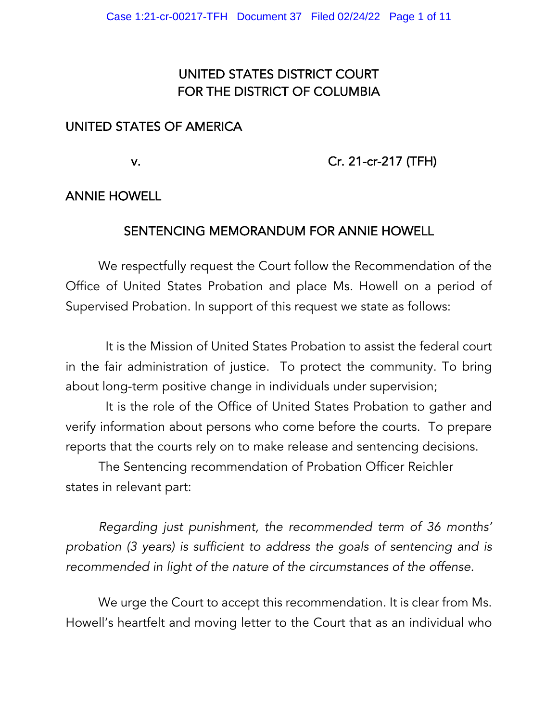# UNITED STATES DISTRICT COURT FOR THE DISTRICT OF COLUMBIA

## UNITED STATES OF AMERICA

## v. Cr. 21-cr-217 (TFH)

#### ANNIE HOWELL

## SENTENCING MEMORANDUM FOR ANNIE HOWELL

We respectfully request the Court follow the Recommendation of the Office of United States Probation and place Ms. Howell on a period of Supervised Probation. In support of this request we state as follows:

 It is the Mission of United States Probation to assist the federal court in the fair administration of justice. To protect the community. To bring about long-term positive change in individuals under supervision;

 It is the role of the Office of United States Probation to gather and verify information about persons who come before the courts. To prepare reports that the courts rely on to make release and sentencing decisions.

The Sentencing recommendation of Probation Officer Reichler states in relevant part:

*Regarding just punishment, the recommended term of 36 months' probation (3 years) is sufficient to address the goals of sentencing and is recommended in light of the nature of the circumstances of the offense.* 

We urge the Court to accept this recommendation. It is clear from Ms. Howell's heartfelt and moving letter to the Court that as an individual who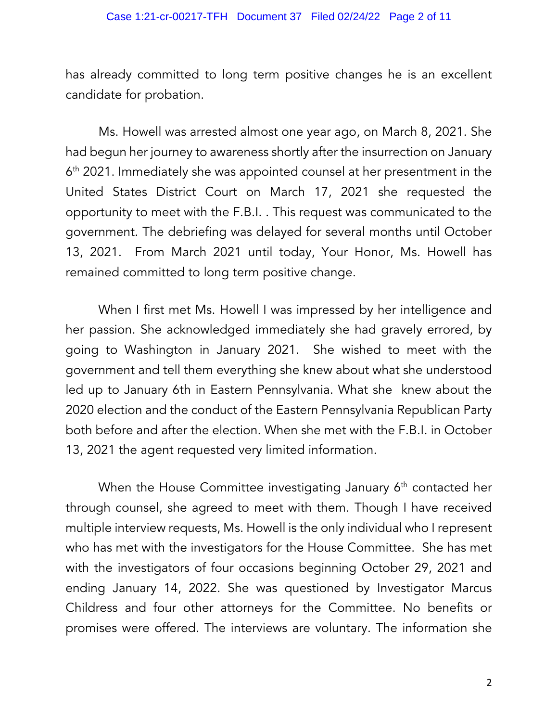has already committed to long term positive changes he is an excellent candidate for probation.

Ms. Howell was arrested almost one year ago, on March 8, 2021. She had begun her journey to awareness shortly after the insurrection on January 6<sup>th</sup> 2021. Immediately she was appointed counsel at her presentment in the United States District Court on March 17, 2021 she requested the opportunity to meet with the F.B.I. . This request was communicated to the government. The debriefing was delayed for several months until October 13, 2021. From March 2021 until today, Your Honor, Ms. Howell has remained committed to long term positive change.

When I first met Ms. Howell I was impressed by her intelligence and her passion. She acknowledged immediately she had gravely errored, by going to Washington in January 2021. She wished to meet with the government and tell them everything she knew about what she understood led up to January 6th in Eastern Pennsylvania. What she knew about the 2020 election and the conduct of the Eastern Pennsylvania Republican Party both before and after the election. When she met with the F.B.I. in October 13, 2021 the agent requested very limited information.

When the House Committee investigating January  $6<sup>th</sup>$  contacted her through counsel, she agreed to meet with them. Though I have received multiple interview requests, Ms. Howell is the only individual who I represent who has met with the investigators for the House Committee. She has met with the investigators of four occasions beginning October 29, 2021 and ending January 14, 2022. She was questioned by Investigator Marcus Childress and four other attorneys for the Committee. No benefits or promises were offered. The interviews are voluntary. The information she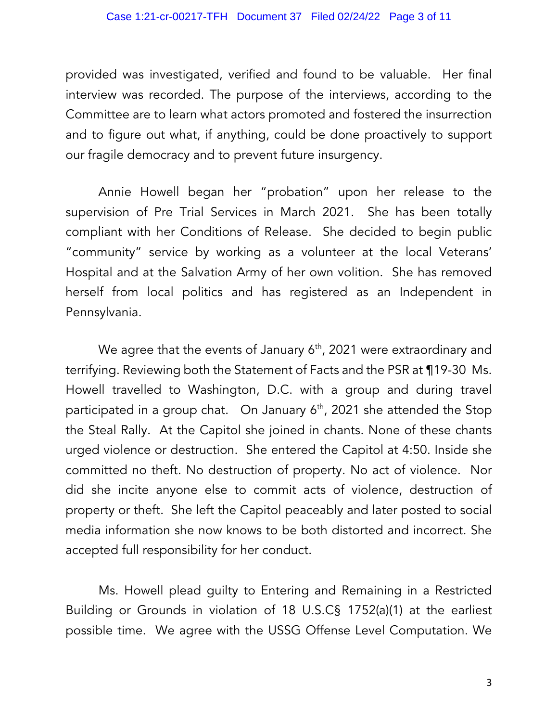provided was investigated, verified and found to be valuable. Her final interview was recorded. The purpose of the interviews, according to the Committee are to learn what actors promoted and fostered the insurrection and to figure out what, if anything, could be done proactively to support our fragile democracy and to prevent future insurgency.

Annie Howell began her "probation" upon her release to the supervision of Pre Trial Services in March 2021. She has been totally compliant with her Conditions of Release. She decided to begin public "community" service by working as a volunteer at the local Veterans' Hospital and at the Salvation Army of her own volition. She has removed herself from local politics and has registered as an Independent in Pennsylvania.

We agree that the events of January  $6<sup>th</sup>$ , 2021 were extraordinary and terrifying. Reviewing both the Statement of Facts and the PSR at ¶19-30 Ms. Howell travelled to Washington, D.C. with a group and during travel participated in a group chat. On January  $6<sup>th</sup>$ , 2021 she attended the Stop the Steal Rally. At the Capitol she joined in chants. None of these chants urged violence or destruction. She entered the Capitol at 4:50. Inside she committed no theft. No destruction of property. No act of violence. Nor did she incite anyone else to commit acts of violence, destruction of property or theft. She left the Capitol peaceably and later posted to social media information she now knows to be both distorted and incorrect. She accepted full responsibility for her conduct.

Ms. Howell plead guilty to Entering and Remaining in a Restricted Building or Grounds in violation of 18 U.S.C§ 1752(a)(1) at the earliest possible time. We agree with the USSG Offense Level Computation. We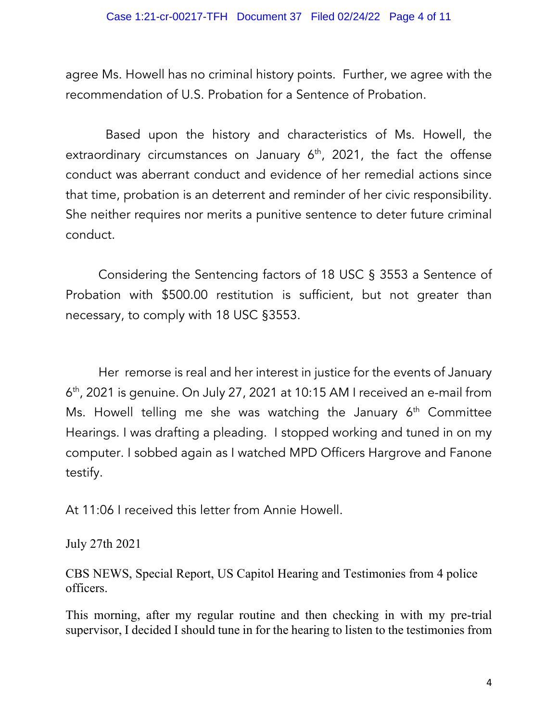agree Ms. Howell has no criminal history points. Further, we agree with the recommendation of U.S. Probation for a Sentence of Probation.

 Based upon the history and characteristics of Ms. Howell, the extraordinary circumstances on January  $6<sup>th</sup>$ , 2021, the fact the offense conduct was aberrant conduct and evidence of her remedial actions since that time, probation is an deterrent and reminder of her civic responsibility. She neither requires nor merits a punitive sentence to deter future criminal conduct.

Considering the Sentencing factors of 18 USC § 3553 a Sentence of Probation with \$500.00 restitution is sufficient, but not greater than necessary, to comply with 18 USC §3553.

Her remorse is real and her interest in justice for the events of January 6th, 2021 is genuine. On July 27, 2021 at 10:15 AM I received an e-mail from Ms. Howell telling me she was watching the January  $6<sup>th</sup>$  Committee Hearings. I was drafting a pleading. I stopped working and tuned in on my computer. I sobbed again as I watched MPD Officers Hargrove and Fanone testify.

At 11:06 I received this letter from Annie Howell.

July 27th 2021

CBS NEWS, Special Report, US Capitol Hearing and Testimonies from 4 police officers.

This morning, after my regular routine and then checking in with my pre-trial supervisor, I decided I should tune in for the hearing to listen to the testimonies from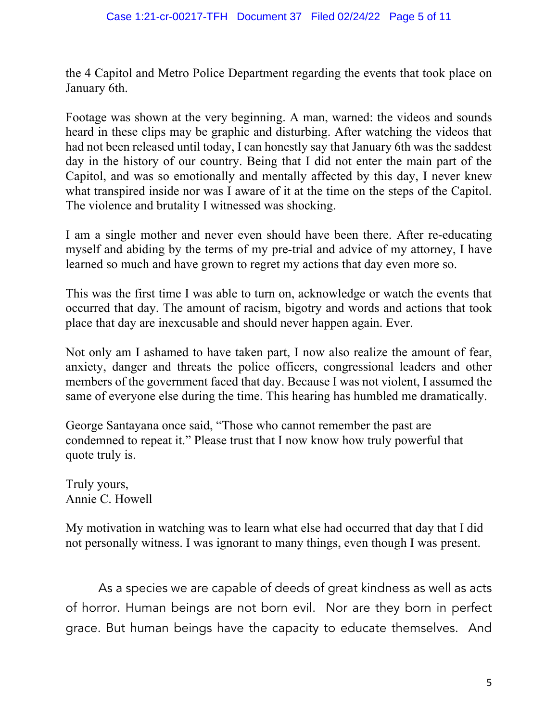the 4 Capitol and Metro Police Department regarding the events that took place on January 6th.

Footage was shown at the very beginning. A man, warned: the videos and sounds heard in these clips may be graphic and disturbing. After watching the videos that had not been released until today, I can honestly say that January 6th was the saddest day in the history of our country. Being that I did not enter the main part of the Capitol, and was so emotionally and mentally affected by this day, I never knew what transpired inside nor was I aware of it at the time on the steps of the Capitol. The violence and brutality I witnessed was shocking.

I am a single mother and never even should have been there. After re-educating myself and abiding by the terms of my pre-trial and advice of my attorney, I have learned so much and have grown to regret my actions that day even more so.

This was the first time I was able to turn on, acknowledge or watch the events that occurred that day. The amount of racism, bigotry and words and actions that took place that day are inexcusable and should never happen again. Ever.

Not only am I ashamed to have taken part, I now also realize the amount of fear, anxiety, danger and threats the police officers, congressional leaders and other members of the government faced that day. Because I was not violent, I assumed the same of everyone else during the time. This hearing has humbled me dramatically.

George Santayana once said, "Those who cannot remember the past are condemned to repeat it." Please trust that I now know how truly powerful that quote truly is.

Truly yours, Annie C. Howell

My motivation in watching was to learn what else had occurred that day that I did not personally witness. I was ignorant to many things, even though I was present.

As a species we are capable of deeds of great kindness as well as acts of horror. Human beings are not born evil. Nor are they born in perfect grace. But human beings have the capacity to educate themselves. And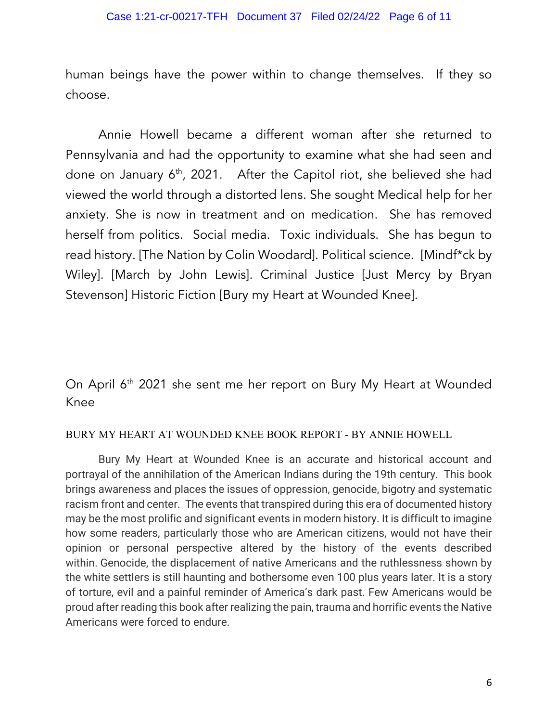human beings have the power within to change themselves. If they so choose.

Annie Howell became a different woman after she returned to Pennsylvania and had the opportunity to examine what she had seen and done on January  $6<sup>th</sup>$ , 2021. After the Capitol riot, she believed she had viewed the world through a distorted lens. She sought Medical help for her anxiety. She is now in treatment and on medication. She has removed herself from politics. Social media. Toxic individuals. She has begun to read history. [The Nation by Colin Woodard]. Political science. [Mindf\*ck by Wiley]. [March by John Lewis]. Criminal Justice [Just Mercy by Bryan Stevenson] Historic Fiction [Bury my Heart at Wounded Knee].

On April 6<sup>th</sup> 2021 she sent me her report on Bury My Heart at Wounded Knee

#### BURY MY HEART AT WOUNDED KNEE BOOK REPORT - BY ANNIE HOWELL

Bury My Heart at Wounded Knee is an accurate and historical account and portrayal of the annihilation of the American Indians during the 19th century. This book brings awareness and places the issues of oppression, genocide, bigotry and systematic racism front and center. The events that transpired during this era of documented history may be the most prolific and significant events in modern history. It is difficult to imagine how some readers, particularly those who are American citizens, would not have their opinion or personal perspective altered by the history of the events described within. Genocide, the displacement of native Americans and the ruthlessness shown by the white settlers is still haunting and bothersome even 100 plus years later. It is a story of torture, evil and a painful reminder of America's dark past. Few Americans would be proud after reading this book after realizing the pain, trauma and horrific events the Native Americans were forced to endure.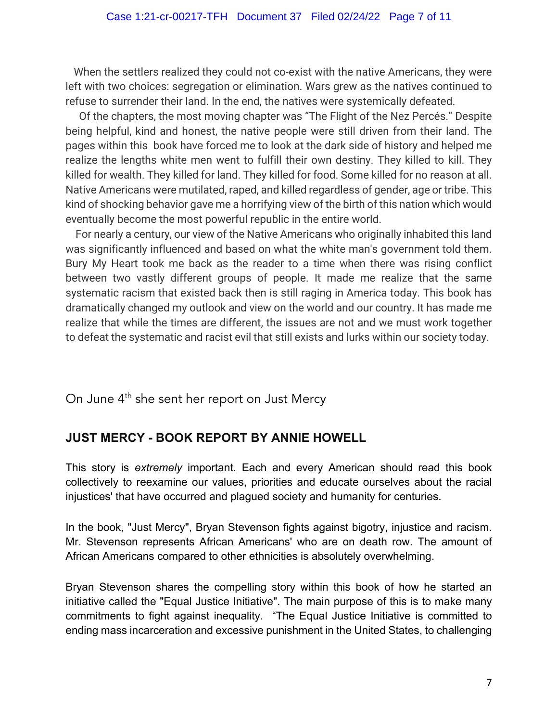When the settlers realized they could not co-exist with the native Americans, they were left with two choices: segregation or elimination. Wars grew as the natives continued to refuse to surrender their land. In the end, the natives were systemically defeated.

Of the chapters, the most moving chapter was "The Flight of the Nez Percés." Despite being helpful, kind and honest, the native people were still driven from their land. The pages within this book have forced me to look at the dark side of history and helped me realize the lengths white men went to fulfill their own destiny. They killed to kill. They killed for wealth. They killed for land. They killed for food. Some killed for no reason at all. Native Americans were mutilated, raped, and killed regardless of gender, age or tribe. This kind of shocking behavior gave me a horrifying view of the birth of this nation which would eventually become the most powerful republic in the entire world.

For nearly a century, our view of the Native Americans who originally inhabited this land was significantly influenced and based on what the white man's government told them. Bury My Heart took me back as the reader to a time when there was rising conflict between two vastly different groups of people. It made me realize that the same systematic racism that existed back then is still raging in America today. This book has dramatically changed my outlook and view on the world and our country. It has made me realize that while the times are different, the issues are not and we must work together to defeat the systematic and racist evil that still exists and lurks within our society today.

On June 4<sup>th</sup> she sent her report on Just Mercy

## **JUST MERCY - BOOK REPORT BY ANNIE HOWELL**

This story is *extremely* important. Each and every American should read this book collectively to reexamine our values, priorities and educate ourselves about the racial injustices' that have occurred and plagued society and humanity for centuries.

In the book, "Just Mercy", Bryan Stevenson fights against bigotry, injustice and racism. Mr. Stevenson represents African Americans' who are on death row. The amount of African Americans compared to other ethnicities is absolutely overwhelming.

Bryan Stevenson shares the compelling story within this book of how he started an initiative called the "Equal Justice Initiative". The main purpose of this is to make many commitments to fight against inequality. "The Equal Justice Initiative is committed to ending mass incarceration and excessive punishment in the United States, to challenging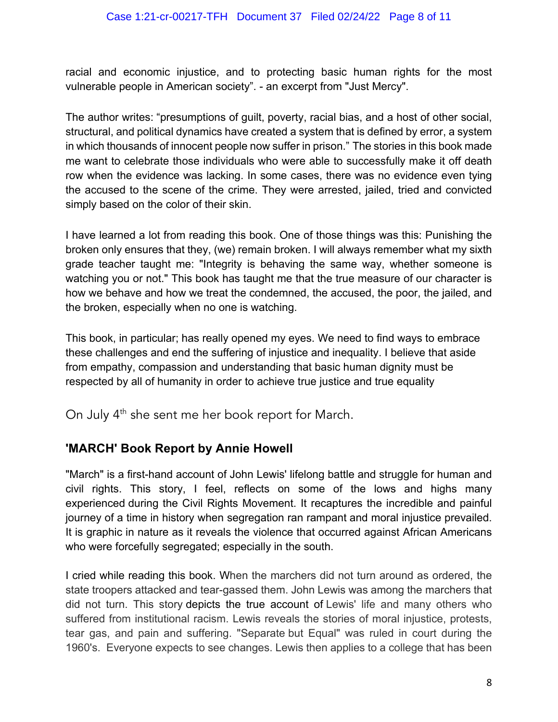racial and economic injustice, and to protecting basic human rights for the most vulnerable people in American society". - an excerpt from "Just Mercy".

The author writes: "presumptions of guilt, poverty, racial bias, and a host of other social, structural, and political dynamics have created a system that is defined by error, a system in which thousands of innocent people now suffer in prison." The stories in this book made me want to celebrate those individuals who were able to successfully make it off death row when the evidence was lacking. In some cases, there was no evidence even tying the accused to the scene of the crime. They were arrested, jailed, tried and convicted simply based on the color of their skin.

I have learned a lot from reading this book. One of those things was this: Punishing the broken only ensures that they, (we) remain broken. I will always remember what my sixth grade teacher taught me: "Integrity is behaving the same way, whether someone is watching you or not." This book has taught me that the true measure of our character is how we behave and how we treat the condemned, the accused, the poor, the jailed, and the broken, especially when no one is watching.

This book, in particular; has really opened my eyes. We need to find ways to embrace these challenges and end the suffering of injustice and inequality. I believe that aside from empathy, compassion and understanding that basic human dignity must be respected by all of humanity in order to achieve true justice and true equality

On July 4<sup>th</sup> she sent me her book report for March.

## **'MARCH' Book Report by Annie Howell**

"March" is a first-hand account of John Lewis' lifelong battle and struggle for human and civil rights. This story, I feel, reflects on some of the lows and highs many experienced during the Civil Rights Movement. It recaptures the incredible and painful journey of a time in history when segregation ran rampant and moral injustice prevailed. It is graphic in nature as it reveals the violence that occurred against African Americans who were forcefully segregated; especially in the south.

I cried while reading this book. When the marchers did not turn around as ordered, the state troopers attacked and tear-gassed them. John Lewis was among the marchers that did not turn. This story depicts the true account of Lewis' life and many others who suffered from institutional racism. Lewis reveals the stories of moral injustice, protests, tear gas, and pain and suffering. "Separate but Equal" was ruled in court during the 1960's. Everyone expects to see changes. Lewis then applies to a college that has been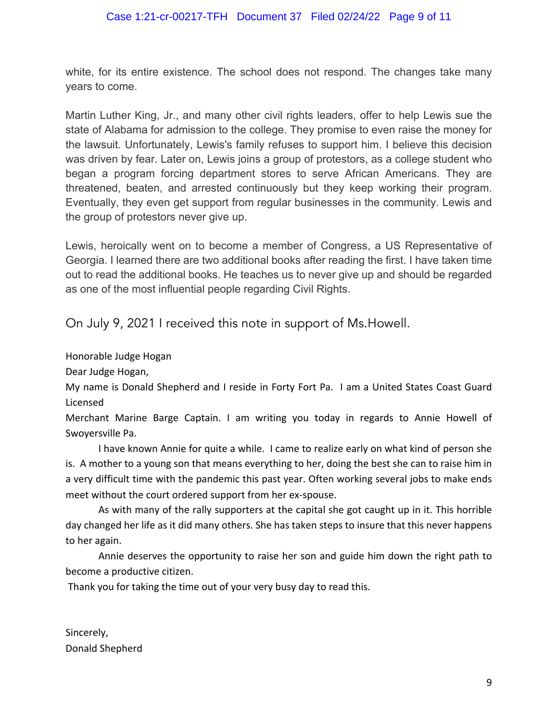white, for its entire existence. The school does not respond. The changes take many years to come.

Martin Luther King, Jr., and many other civil rights leaders, offer to help Lewis sue the state of Alabama for admission to the college. They promise to even raise the money for the lawsuit. Unfortunately, Lewis's family refuses to support him. I believe this decision was driven by fear. Later on, Lewis joins a group of protestors, as a college student who began a program forcing department stores to serve African Americans. They are threatened, beaten, and arrested continuously but they keep working their program. Eventually, they even get support from regular businesses in the community. Lewis and the group of protestors never give up.

Lewis, heroically went on to become a member of Congress, a US Representative of Georgia. I learned there are two additional books after reading the first. I have taken time out to read the additional books. He teaches us to never give up and should be regarded as one of the most influential people regarding Civil Rights.

On July 9, 2021 I received this note in support of Ms.Howell.

Honorable Judge Hogan

Dear Judge Hogan,

My name is Donald Shepherd and I reside in Forty Fort Pa. I am a United States Coast Guard Licensed

Merchant Marine Barge Captain. I am writing you today in regards to Annie Howell of Swoyersville Pa.

I have known Annie for quite a while. I came to realize early on what kind of person she is. A mother to a young son that means everything to her, doing the best she can to raise him in a very difficult time with the pandemic this past year. Often working several jobs to make ends meet without the court ordered support from her ex-spouse.

 As with many of the rally supporters at the capital she got caught up in it. This horrible day changed her life as it did many others. She has taken steps to insure that this never happens to her again.

Annie deserves the opportunity to raise her son and guide him down the right path to become a productive citizen.

Thank you for taking the time out of your very busy day to read this.

Sincerely, Donald Shepherd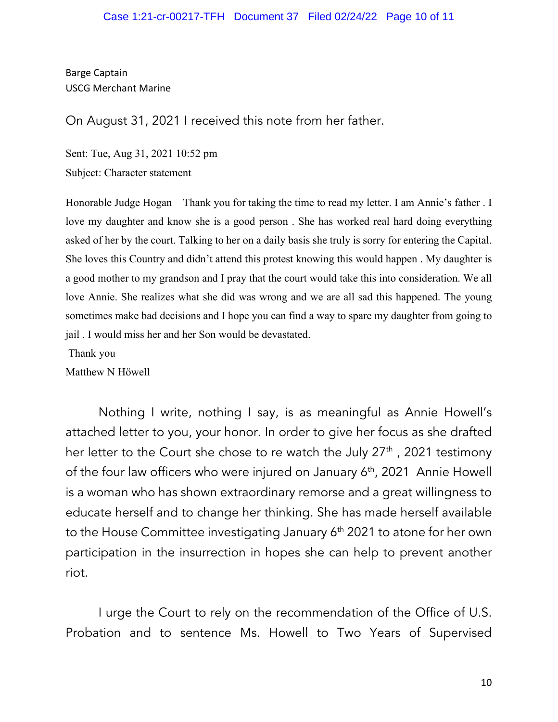Barge Captain USCG Merchant Marine

On August 31, 2021 I received this note from her father.

Sent: Tue, Aug 31, 2021 10:52 pm Subject: Character statement

Honorable Judge Hogan Thank you for taking the time to read my letter. I am Annie's father . I love my daughter and know she is a good person . She has worked real hard doing everything asked of her by the court. Talking to her on a daily basis she truly is sorry for entering the Capital. She loves this Country and didn't attend this protest knowing this would happen . My daughter is a good mother to my grandson and I pray that the court would take this into consideration. We all love Annie. She realizes what she did was wrong and we are all sad this happened. The young sometimes make bad decisions and I hope you can find a way to spare my daughter from going to jail . I would miss her and her Son would be devastated.

Thank you

Matthew N Höwell

Nothing I write, nothing I say, is as meaningful as Annie Howell's attached letter to you, your honor. In order to give her focus as she drafted her letter to the Court she chose to re watch the July  $27<sup>th</sup>$ , 2021 testimony of the four law officers who were injured on January 6<sup>th</sup>, 2021 Annie Howell is a woman who has shown extraordinary remorse and a great willingness to educate herself and to change her thinking. She has made herself available to the House Committee investigating January 6<sup>th</sup> 2021 to atone for her own participation in the insurrection in hopes she can help to prevent another riot.

I urge the Court to rely on the recommendation of the Office of U.S. Probation and to sentence Ms. Howell to Two Years of Supervised